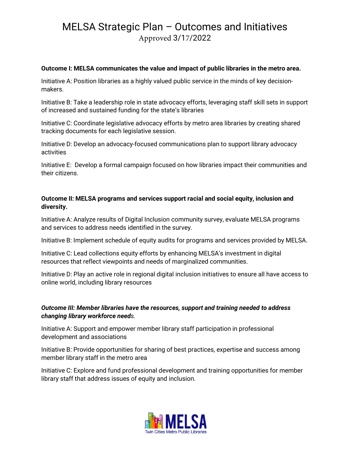# MELSA Strategic Plan – Outcomes and Initiatives Approved 3/17/2022

#### **Outcome I: MELSA communicates the value and impact of public libraries in the metro area.**

Initiative A: Position libraries as a highly valued public service in the minds of key decisionmakers.

Initiative B: Take a leadership role in state advocacy efforts, leveraging staff skill sets in support of increased and sustained funding for the state's libraries

Initiative C: Coordinate legislative advocacy efforts by metro area libraries by creating shared tracking documents for each legislative session.

Initiative D: Develop an advocacy-focused communications plan to support library advocacy activities

Initiative E: Develop a formal campaign focused on how libraries impact their communities and their citizens.

### **Outcome II: MELSA programs and services support racial and social equity, inclusion and diversity.**

Initiative A: Analyze results of Digital Inclusion community survey, evaluate MELSA programs and services to address needs identified in the survey.

Initiative B: Implement schedule of equity audits for programs and services provided by MELSA.

Initiative C: Lead collections equity efforts by enhancing MELSA's investment in digital resources that reflect viewpoints and needs of marginalized communities.

Initiative D: Play an active role in regional digital inclusion initiatives to ensure all have access to online world, including library resources

### *Outcome III: Member libraries have the resources, support and training needed to address changing library workforce needs.*

Initiative A: Support and empower member library staff participation in professional development and associations

Initiative B: Provide opportunities for sharing of best practices, expertise and success among member library staff in the metro area

Initiative C: Explore and fund professional development and training opportunities for member library staff that address issues of equity and inclusion.